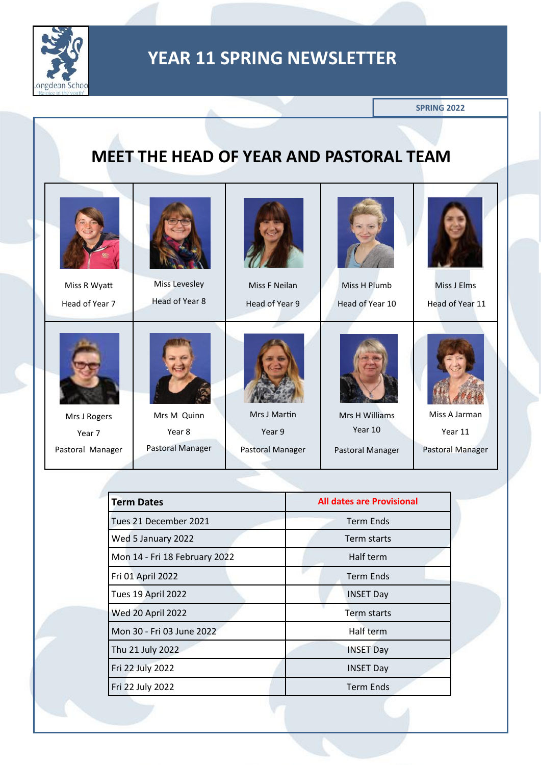

**SPRING 2022**

## **MEET THE HEAD OF YEAR AND PASTORAL TEAM**

| Miss R Wyatt     | Miss Levesley    | Miss F Neilan    | Miss H Plumb     | Miss J Elms             |
|------------------|------------------|------------------|------------------|-------------------------|
| Head of Year 7   | Head of Year 8   | Head of Year 9   | Head of Year 10  | Head of Year 11         |
|                  |                  |                  |                  |                         |
| Mrs J Rogers     | Mrs M Quinn      | Mrs J Martin     | Mrs H Williams   | Miss A Jarman           |
| Year 7           | Year 8           | Year 9           | Year 10          | Year 11                 |
| Pastoral Manager | Pastoral Manager | Pastoral Manager | Pastoral Manager | <b>Pastoral Manager</b> |

| <b>Term Dates</b>             | <b>All dates are Provisional</b> |
|-------------------------------|----------------------------------|
| Tues 21 December 2021         | Term Ends                        |
| Wed 5 January 2022            | Term starts                      |
| Mon 14 - Fri 18 February 2022 | Half term                        |
| Fri 01 April 2022             | <b>Term Ends</b>                 |
| Tues 19 April 2022            | <b>INSET Day</b>                 |
| <b>Wed 20 April 2022</b>      | Term starts                      |
| Mon 30 - Fri 03 June 2022     | Half term                        |
| Thu 21 July 2022              | <b>INSET Day</b>                 |
| Fri 22 July 2022              | <b>INSET Day</b>                 |
| Fri 22 July 2022              | <b>Term Ends</b>                 |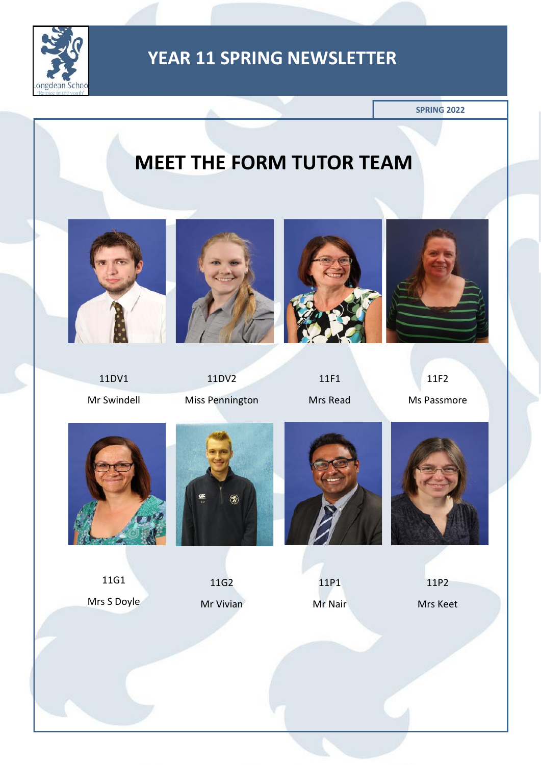

**SPRING 2022**

# **MEET THE FORM TUTOR TEAM**









11DV1

Mr Swindell

11DV2 Miss Pennington

11F1 Mrs Read

11F2 Ms Passmore



11G1 Mrs S Doyle



11G2 Mr Vivian



11P1 Mr Nair



11P2

Mrs Keet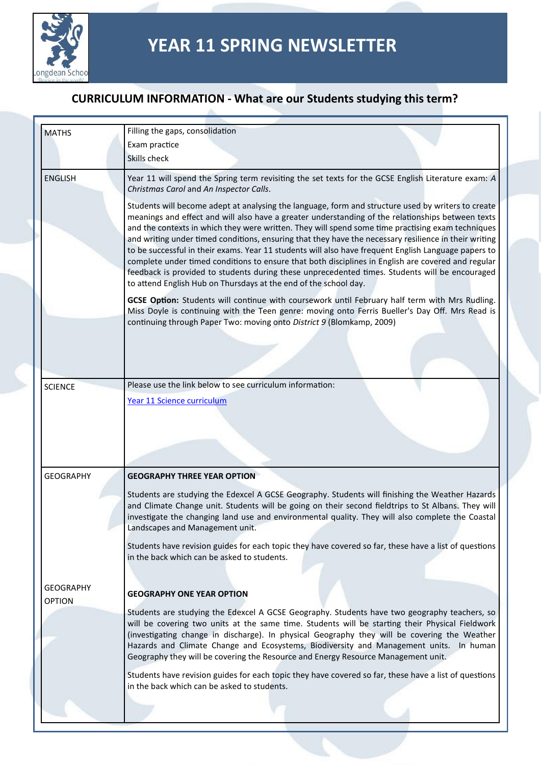

| <b>MATHS</b>     | Filling the gaps, consolidation                                                                                                                                                                                                                                                                                                                                                                                                                                                                                                                                                                                                                                                                                                                                                                           |
|------------------|-----------------------------------------------------------------------------------------------------------------------------------------------------------------------------------------------------------------------------------------------------------------------------------------------------------------------------------------------------------------------------------------------------------------------------------------------------------------------------------------------------------------------------------------------------------------------------------------------------------------------------------------------------------------------------------------------------------------------------------------------------------------------------------------------------------|
|                  | Exam practice                                                                                                                                                                                                                                                                                                                                                                                                                                                                                                                                                                                                                                                                                                                                                                                             |
|                  | Skills check                                                                                                                                                                                                                                                                                                                                                                                                                                                                                                                                                                                                                                                                                                                                                                                              |
|                  |                                                                                                                                                                                                                                                                                                                                                                                                                                                                                                                                                                                                                                                                                                                                                                                                           |
| <b>ENGLISH</b>   | Year 11 will spend the Spring term revisiting the set texts for the GCSE English Literature exam: A<br>Christmas Carol and An Inspector Calls.                                                                                                                                                                                                                                                                                                                                                                                                                                                                                                                                                                                                                                                            |
|                  | Students will become adept at analysing the language, form and structure used by writers to create<br>meanings and effect and will also have a greater understanding of the relationships between texts<br>and the contexts in which they were written. They will spend some time practising exam techniques<br>and writing under timed conditions, ensuring that they have the necessary resilience in their writing<br>to be successful in their exams. Year 11 students will also have frequent English Language papers to<br>complete under timed conditions to ensure that both disciplines in English are covered and regular<br>feedback is provided to students during these unprecedented times. Students will be encouraged<br>to attend English Hub on Thursdays at the end of the school day. |
|                  | GCSE Option: Students will continue with coursework until February half term with Mrs Rudling.<br>Miss Doyle is continuing with the Teen genre: moving onto Ferris Bueller's Day Off. Mrs Read is<br>continuing through Paper Two: moving onto District 9 (Blomkamp, 2009)                                                                                                                                                                                                                                                                                                                                                                                                                                                                                                                                |
|                  |                                                                                                                                                                                                                                                                                                                                                                                                                                                                                                                                                                                                                                                                                                                                                                                                           |
|                  |                                                                                                                                                                                                                                                                                                                                                                                                                                                                                                                                                                                                                                                                                                                                                                                                           |
| <b>SCIENCE</b>   | Please use the link below to see curriculum information:                                                                                                                                                                                                                                                                                                                                                                                                                                                                                                                                                                                                                                                                                                                                                  |
|                  |                                                                                                                                                                                                                                                                                                                                                                                                                                                                                                                                                                                                                                                                                                                                                                                                           |
|                  | Year 11 Science curriculum                                                                                                                                                                                                                                                                                                                                                                                                                                                                                                                                                                                                                                                                                                                                                                                |
|                  |                                                                                                                                                                                                                                                                                                                                                                                                                                                                                                                                                                                                                                                                                                                                                                                                           |
|                  |                                                                                                                                                                                                                                                                                                                                                                                                                                                                                                                                                                                                                                                                                                                                                                                                           |
|                  |                                                                                                                                                                                                                                                                                                                                                                                                                                                                                                                                                                                                                                                                                                                                                                                                           |
|                  |                                                                                                                                                                                                                                                                                                                                                                                                                                                                                                                                                                                                                                                                                                                                                                                                           |
|                  |                                                                                                                                                                                                                                                                                                                                                                                                                                                                                                                                                                                                                                                                                                                                                                                                           |
| <b>GEOGRAPHY</b> | <b>GEOGRAPHY THREE YEAR OPTION</b>                                                                                                                                                                                                                                                                                                                                                                                                                                                                                                                                                                                                                                                                                                                                                                        |
|                  |                                                                                                                                                                                                                                                                                                                                                                                                                                                                                                                                                                                                                                                                                                                                                                                                           |
|                  |                                                                                                                                                                                                                                                                                                                                                                                                                                                                                                                                                                                                                                                                                                                                                                                                           |
|                  | Students are studying the Edexcel A GCSE Geography. Students will finishing the Weather Hazards<br>and Climate Change unit. Students will be going on their second fieldtrips to St Albans. They will<br>investigate the changing land use and environmental quality. They will also complete the Coastal<br>Landscapes and Management unit.                                                                                                                                                                                                                                                                                                                                                                                                                                                              |
|                  | Students have revision guides for each topic they have covered so far, these have a list of questions<br>in the back which can be asked to students.                                                                                                                                                                                                                                                                                                                                                                                                                                                                                                                                                                                                                                                      |
|                  |                                                                                                                                                                                                                                                                                                                                                                                                                                                                                                                                                                                                                                                                                                                                                                                                           |
| <b>GEOGRAPHY</b> | <b>GEOGRAPHY ONE YEAR OPTION</b>                                                                                                                                                                                                                                                                                                                                                                                                                                                                                                                                                                                                                                                                                                                                                                          |
| <b>OPTION</b>    |                                                                                                                                                                                                                                                                                                                                                                                                                                                                                                                                                                                                                                                                                                                                                                                                           |
|                  | Students are studying the Edexcel A GCSE Geography. Students have two geography teachers, so<br>will be covering two units at the same time. Students will be starting their Physical Fieldwork<br>(investigating change in discharge). In physical Geography they will be covering the Weather<br>Hazards and Climate Change and Ecosystems, Biodiversity and Management units. In human<br>Geography they will be covering the Resource and Energy Resource Management unit.                                                                                                                                                                                                                                                                                                                            |
|                  | Students have revision guides for each topic they have covered so far, these have a list of questions<br>in the back which can be asked to students.                                                                                                                                                                                                                                                                                                                                                                                                                                                                                                                                                                                                                                                      |
|                  |                                                                                                                                                                                                                                                                                                                                                                                                                                                                                                                                                                                                                                                                                                                                                                                                           |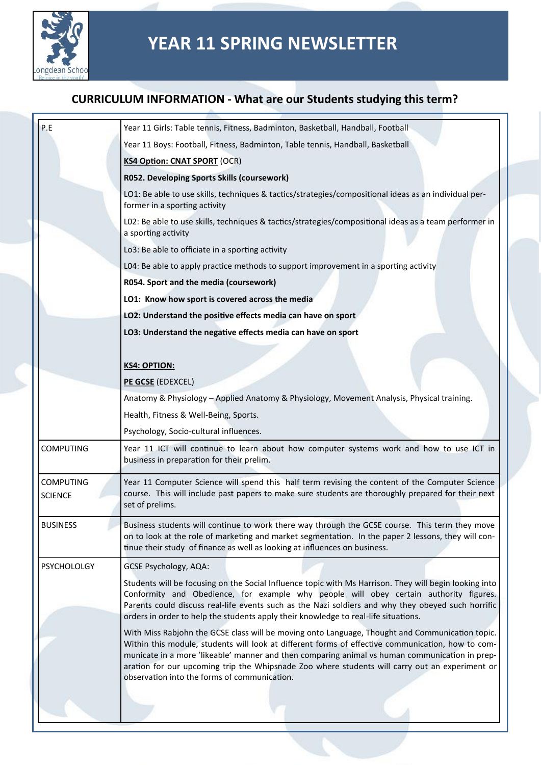

| P.E                                | Year 11 Girls: Table tennis, Fitness, Badminton, Basketball, Handball, Football                                                                                                                                                                                                                                                                                                                                                                          |  |  |
|------------------------------------|----------------------------------------------------------------------------------------------------------------------------------------------------------------------------------------------------------------------------------------------------------------------------------------------------------------------------------------------------------------------------------------------------------------------------------------------------------|--|--|
|                                    | Year 11 Boys: Football, Fitness, Badminton, Table tennis, Handball, Basketball                                                                                                                                                                                                                                                                                                                                                                           |  |  |
|                                    | <b>KS4 Option: CNAT SPORT (OCR)</b>                                                                                                                                                                                                                                                                                                                                                                                                                      |  |  |
|                                    | R052. Developing Sports Skills (coursework)                                                                                                                                                                                                                                                                                                                                                                                                              |  |  |
|                                    | LO1: Be able to use skills, techniques & tactics/strategies/compositional ideas as an individual per-<br>former in a sporting activity                                                                                                                                                                                                                                                                                                                   |  |  |
|                                    | L02: Be able to use skills, techniques & tactics/strategies/compositional ideas as a team performer in<br>a sporting activity                                                                                                                                                                                                                                                                                                                            |  |  |
|                                    | Lo3: Be able to officiate in a sporting activity                                                                                                                                                                                                                                                                                                                                                                                                         |  |  |
|                                    | L04: Be able to apply practice methods to support improvement in a sporting activity                                                                                                                                                                                                                                                                                                                                                                     |  |  |
|                                    | R054. Sport and the media (coursework)                                                                                                                                                                                                                                                                                                                                                                                                                   |  |  |
|                                    | LO1: Know how sport is covered across the media                                                                                                                                                                                                                                                                                                                                                                                                          |  |  |
|                                    | LO2: Understand the positive effects media can have on sport                                                                                                                                                                                                                                                                                                                                                                                             |  |  |
|                                    | LO3: Understand the negative effects media can have on sport                                                                                                                                                                                                                                                                                                                                                                                             |  |  |
|                                    |                                                                                                                                                                                                                                                                                                                                                                                                                                                          |  |  |
|                                    | <b>KS4: OPTION:</b>                                                                                                                                                                                                                                                                                                                                                                                                                                      |  |  |
|                                    | PE GCSE (EDEXCEL)                                                                                                                                                                                                                                                                                                                                                                                                                                        |  |  |
|                                    | Anatomy & Physiology - Applied Anatomy & Physiology, Movement Analysis, Physical training.                                                                                                                                                                                                                                                                                                                                                               |  |  |
|                                    | Health, Fitness & Well-Being, Sports.                                                                                                                                                                                                                                                                                                                                                                                                                    |  |  |
|                                    | Psychology, Socio-cultural influences.                                                                                                                                                                                                                                                                                                                                                                                                                   |  |  |
| <b>COMPUTING</b>                   | Year 11 ICT will continue to learn about how computer systems work and how to use ICT in<br>business in preparation for their prelim.                                                                                                                                                                                                                                                                                                                    |  |  |
| <b>COMPUTING</b><br><b>SCIENCE</b> | Year 11 Computer Science will spend this half term revising the content of the Computer Science<br>course. This will include past papers to make sure students are thoroughly prepared for their next<br>set of prelims.                                                                                                                                                                                                                                 |  |  |
| <b>BUSINESS</b>                    | Business students will continue to work there way through the GCSE course. This term they move<br>on to look at the role of marketing and market segmentation. In the paper 2 lessons, they will con-<br>tinue their study of finance as well as looking at influences on business.                                                                                                                                                                      |  |  |
| <b>PSYCHOLOLGY</b>                 | <b>GCSE Psychology, AQA:</b>                                                                                                                                                                                                                                                                                                                                                                                                                             |  |  |
|                                    | Students will be focusing on the Social Influence topic with Ms Harrison. They will begin looking into<br>Conformity and Obedience, for example why people will obey certain authority figures.<br>Parents could discuss real-life events such as the Nazi soldiers and why they obeyed such horrific<br>orders in order to help the students apply their knowledge to real-life situations.                                                             |  |  |
|                                    | With Miss Rabjohn the GCSE class will be moving onto Language, Thought and Communication topic.<br>Within this module, students will look at different forms of effective communication, how to com-<br>municate in a more 'likeable' manner and then comparing animal vs human communication in prep-<br>aration for our upcoming trip the Whipsnade Zoo where students will carry out an experiment or<br>observation into the forms of communication. |  |  |
|                                    |                                                                                                                                                                                                                                                                                                                                                                                                                                                          |  |  |
|                                    |                                                                                                                                                                                                                                                                                                                                                                                                                                                          |  |  |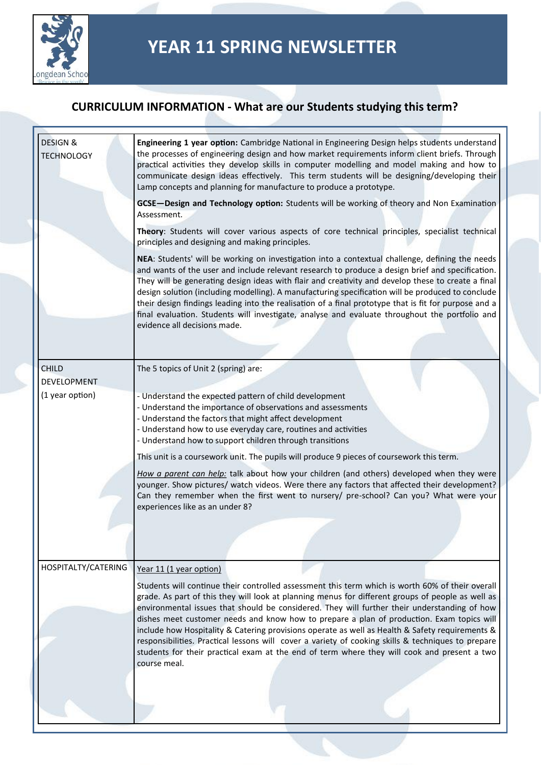

| <b>DESIGN &amp;</b><br><b>TECHNOLOGY</b> | Engineering 1 year option: Cambridge National in Engineering Design helps students understand<br>the processes of engineering design and how market requirements inform client briefs. Through<br>practical activities they develop skills in computer modelling and model making and how to<br>communicate design ideas effectively. This term students will be designing/developing their<br>Lamp concepts and planning for manufacture to produce a prototype.                                                                                                                                                                                         |
|------------------------------------------|-----------------------------------------------------------------------------------------------------------------------------------------------------------------------------------------------------------------------------------------------------------------------------------------------------------------------------------------------------------------------------------------------------------------------------------------------------------------------------------------------------------------------------------------------------------------------------------------------------------------------------------------------------------|
|                                          | GCSE-Design and Technology option: Students will be working of theory and Non Examination<br>Assessment.                                                                                                                                                                                                                                                                                                                                                                                                                                                                                                                                                  |
|                                          | Theory: Students will cover various aspects of core technical principles, specialist technical<br>principles and designing and making principles.                                                                                                                                                                                                                                                                                                                                                                                                                                                                                                         |
|                                          | NEA: Students' will be working on investigation into a contextual challenge, defining the needs<br>and wants of the user and include relevant research to produce a design brief and specification.<br>They will be generating design ideas with flair and creativity and develop these to create a final<br>design solution (including modelling). A manufacturing specification will be produced to conclude<br>their design findings leading into the realisation of a final prototype that is fit for purpose and a<br>final evaluation. Students will investigate, analyse and evaluate throughout the portfolio and<br>evidence all decisions made. |
|                                          |                                                                                                                                                                                                                                                                                                                                                                                                                                                                                                                                                                                                                                                           |
| <b>CHILD</b>                             | The 5 topics of Unit 2 (spring) are:                                                                                                                                                                                                                                                                                                                                                                                                                                                                                                                                                                                                                      |
| <b>DEVELOPMENT</b>                       |                                                                                                                                                                                                                                                                                                                                                                                                                                                                                                                                                                                                                                                           |
| (1 year option)                          | - Understand the expected pattern of child development<br>- Understand the importance of observations and assessments<br>- Understand the factors that might affect development<br>- Understand how to use everyday care, routines and activities<br>- Understand how to support children through transitions                                                                                                                                                                                                                                                                                                                                             |
|                                          | This unit is a coursework unit. The pupils will produce 9 pieces of coursework this term.                                                                                                                                                                                                                                                                                                                                                                                                                                                                                                                                                                 |
|                                          | How a parent can help: talk about how your children (and others) developed when they were<br>younger. Show pictures/ watch videos. Were there any factors that affected their development?<br>Can they remember when the first went to nursery/ pre-school? Can you? What were your<br>experiences like as an under 8?                                                                                                                                                                                                                                                                                                                                    |
|                                          |                                                                                                                                                                                                                                                                                                                                                                                                                                                                                                                                                                                                                                                           |
| HOSPITALTY/CATERING                      | Year 11 (1 year option)                                                                                                                                                                                                                                                                                                                                                                                                                                                                                                                                                                                                                                   |
|                                          | Students will continue their controlled assessment this term which is worth 60% of their overall<br>grade. As part of this they will look at planning menus for different groups of people as well as<br>environmental issues that should be considered. They will further their understanding of how<br>dishes meet customer needs and know how to prepare a plan of production. Exam topics will                                                                                                                                                                                                                                                        |
|                                          | include how Hospitality & Catering provisions operate as well as Health & Safety requirements &<br>responsibilities. Practical lessons will cover a variety of cooking skills & techniques to prepare<br>students for their practical exam at the end of term where they will cook and present a two<br>course meal.                                                                                                                                                                                                                                                                                                                                      |
|                                          |                                                                                                                                                                                                                                                                                                                                                                                                                                                                                                                                                                                                                                                           |
|                                          |                                                                                                                                                                                                                                                                                                                                                                                                                                                                                                                                                                                                                                                           |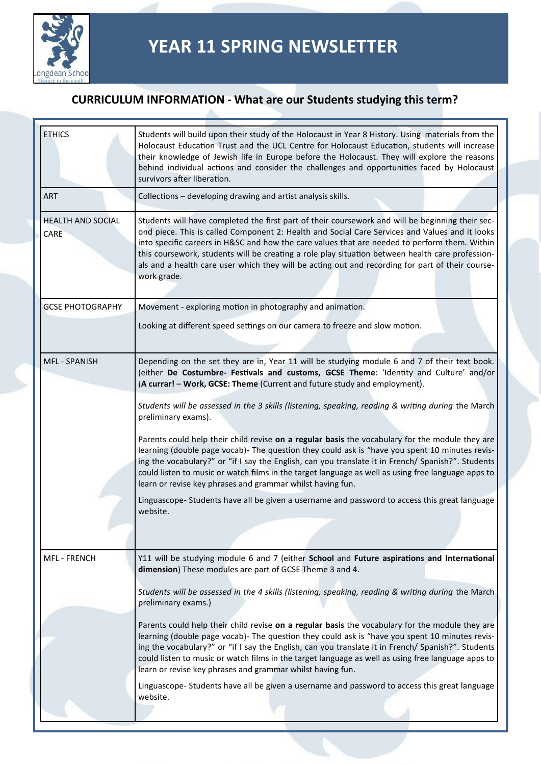

| <b>ETHICS</b>                    | Students will build upon their study of the Holocaust in Year 8 History. Using materials from the<br>Holocaust Education Trust and the UCL Centre for Holocaust Education, students will increase<br>their knowledge of Jewish life in Europe before the Holocaust. They will explore the reasons<br>behind individual actions and consider the challenges and opportunities faced by Holocaust<br>survivors after liberation.                                                                                             |
|----------------------------------|----------------------------------------------------------------------------------------------------------------------------------------------------------------------------------------------------------------------------------------------------------------------------------------------------------------------------------------------------------------------------------------------------------------------------------------------------------------------------------------------------------------------------|
| <b>ART</b>                       | Collections - developing drawing and artist analysis skills.                                                                                                                                                                                                                                                                                                                                                                                                                                                               |
| <b>HEALTH AND SOCIAL</b><br>CARE | Students will have completed the first part of their coursework and will be beginning their sec-<br>ond piece. This is called Component 2: Health and Social Care Services and Values and it looks<br>into specific careers in H&SC and how the care values that are needed to perform them. Within<br>this coursework, students will be creating a role play situation between health care profession-<br>als and a health care user which they will be acting out and recording for part of their course-<br>work grade. |
| <b>GCSE PHOTOGRAPHY</b>          | Movement - exploring motion in photography and animation.                                                                                                                                                                                                                                                                                                                                                                                                                                                                  |
|                                  | Looking at different speed settings on our camera to freeze and slow motion.                                                                                                                                                                                                                                                                                                                                                                                                                                               |
| <b>MFL - SPANISH</b>             | Depending on the set they are in, Year 11 will be studying module 6 and 7 of their text book.<br>(either De Costumbre- Festivals and customs, GCSE Theme: 'Identity and Culture' and/or<br>iA currar! - Work, GCSE: Theme (Current and future study and employment).                                                                                                                                                                                                                                                       |
|                                  | Students will be assessed in the 3 skills (listening, speaking, reading & writing during the March<br>preliminary exams).                                                                                                                                                                                                                                                                                                                                                                                                  |
|                                  | Parents could help their child revise on a regular basis the vocabulary for the module they are<br>learning (double page vocab)- The question they could ask is "have you spent 10 minutes revis-<br>ing the vocabulary?" or "if I say the English, can you translate it in French/ Spanish?". Students<br>could listen to music or watch films in the target language as well as using free language apps to<br>learn or revise key phrases and grammar whilst having fun.                                                |
|                                  | Linguascope- Students have all be given a username and password to access this great language<br>website.                                                                                                                                                                                                                                                                                                                                                                                                                  |
|                                  |                                                                                                                                                                                                                                                                                                                                                                                                                                                                                                                            |
| <b>MFL - FRENCH</b>              | Y11 will be studying module 6 and 7 (either School and Future aspirations and International<br>dimension) These modules are part of GCSE Theme 3 and 4.                                                                                                                                                                                                                                                                                                                                                                    |
|                                  | Students will be assessed in the 4 skills (listening, speaking, reading & writing during the March<br>preliminary exams.)                                                                                                                                                                                                                                                                                                                                                                                                  |
|                                  | Parents could help their child revise on a regular basis the vocabulary for the module they are<br>learning (double page vocab)- The question they could ask is "have you spent 10 minutes revis-<br>ing the vocabulary?" or "if I say the English, can you translate it in French/ Spanish?". Students<br>could listen to music or watch films in the target language as well as using free language apps to<br>learn or revise key phrases and grammar whilst having fun.                                                |
|                                  | Linguascope- Students have all be given a username and password to access this great language<br>website.                                                                                                                                                                                                                                                                                                                                                                                                                  |
|                                  |                                                                                                                                                                                                                                                                                                                                                                                                                                                                                                                            |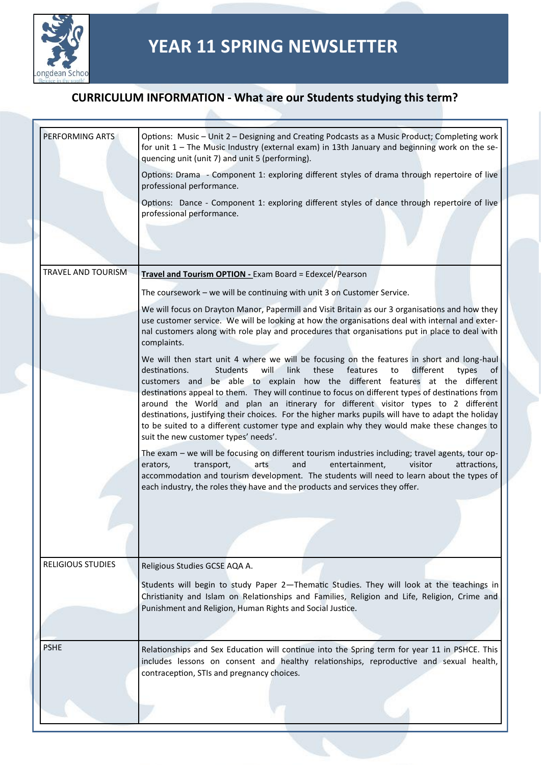

| PERFORMING ARTS          | Options: Music - Unit 2 - Designing and Creating Podcasts as a Music Product; Completing work<br>for unit $1$ – The Music Industry (external exam) in 13th January and beginning work on the se-<br>quencing unit (unit 7) and unit 5 (performing).                                                                                                                                                                               |
|--------------------------|-----------------------------------------------------------------------------------------------------------------------------------------------------------------------------------------------------------------------------------------------------------------------------------------------------------------------------------------------------------------------------------------------------------------------------------|
|                          | Options: Drama - Component 1: exploring different styles of drama through repertoire of live<br>professional performance.                                                                                                                                                                                                                                                                                                         |
|                          | Options: Dance - Component 1: exploring different styles of dance through repertoire of live<br>professional performance.                                                                                                                                                                                                                                                                                                         |
|                          |                                                                                                                                                                                                                                                                                                                                                                                                                                   |
|                          |                                                                                                                                                                                                                                                                                                                                                                                                                                   |
| TRAVEL AND TOURISM       | Travel and Tourism OPTION - Exam Board = Edexcel/Pearson                                                                                                                                                                                                                                                                                                                                                                          |
|                          | The coursework - we will be continuing with unit 3 on Customer Service.                                                                                                                                                                                                                                                                                                                                                           |
|                          | We will focus on Drayton Manor, Papermill and Visit Britain as our 3 organisations and how they<br>use customer service. We will be looking at how the organisations deal with internal and exter-<br>nal customers along with role play and procedures that organisations put in place to deal with<br>complaints.                                                                                                               |
|                          | We will then start unit 4 where we will be focusing on the features in short and long-haul<br>these<br>destinations.<br>will<br>link<br>features<br>to<br>different<br>types<br>Students<br>οf<br>customers and be able to explain how the different features at the different                                                                                                                                                    |
|                          | destinations appeal to them. They will continue to focus on different types of destinations from<br>around the World and plan an itinerary for different visitor types to 2 different<br>destinations, justifying their choices. For the higher marks pupils will have to adapt the holiday<br>to be suited to a different customer type and explain why they would make these changes to<br>suit the new customer types' needs'. |
|                          | The exam - we will be focusing on different tourism industries including; travel agents, tour op-<br>arts<br>and<br>entertainment,<br>visitor<br>attractions,<br>erators,<br>transport,<br>accommodation and tourism development. The students will need to learn about the types of<br>each industry, the roles they have and the products and services they offer.                                                              |
|                          |                                                                                                                                                                                                                                                                                                                                                                                                                                   |
|                          |                                                                                                                                                                                                                                                                                                                                                                                                                                   |
| <b>RELIGIOUS STUDIES</b> | Religious Studies GCSE AQA A.                                                                                                                                                                                                                                                                                                                                                                                                     |
|                          | Students will begin to study Paper 2-Thematic Studies. They will look at the teachings in<br>Christianity and Islam on Relationships and Families, Religion and Life, Religion, Crime and<br>Punishment and Religion, Human Rights and Social Justice.                                                                                                                                                                            |
|                          |                                                                                                                                                                                                                                                                                                                                                                                                                                   |
| <b>PSHE</b>              | Relationships and Sex Education will continue into the Spring term for year 11 in PSHCE. This<br>includes lessons on consent and healthy relationships, reproductive and sexual health,<br>contraception, STIs and pregnancy choices.                                                                                                                                                                                             |
|                          |                                                                                                                                                                                                                                                                                                                                                                                                                                   |
|                          |                                                                                                                                                                                                                                                                                                                                                                                                                                   |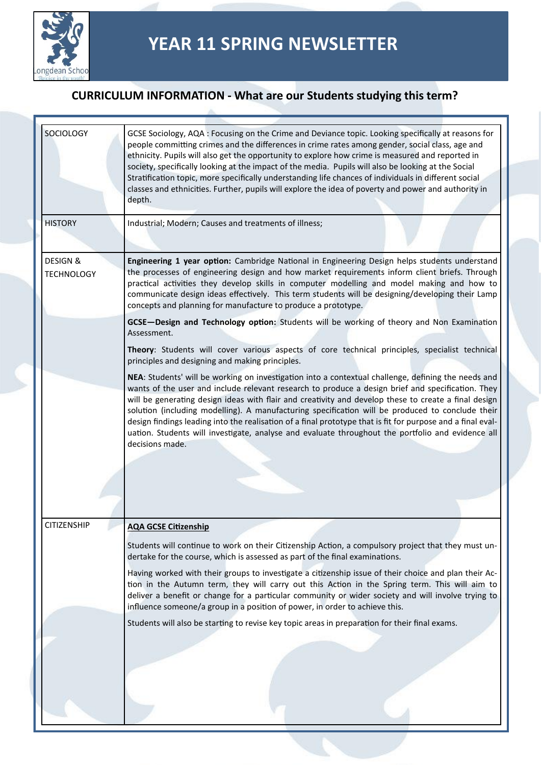

| <b>SOCIOLOGY</b>                         | GCSE Sociology, AQA : Focusing on the Crime and Deviance topic. Looking specifically at reasons for<br>people committing crimes and the differences in crime rates among gender, social class, age and<br>ethnicity. Pupils will also get the opportunity to explore how crime is measured and reported in<br>society, specifically looking at the impact of the media. Pupils will also be looking at the Social<br>Stratification topic, more specifically understanding life chances of individuals in different social<br>classes and ethnicities. Further, pupils will explore the idea of poverty and power and authority in<br>depth.                |
|------------------------------------------|-------------------------------------------------------------------------------------------------------------------------------------------------------------------------------------------------------------------------------------------------------------------------------------------------------------------------------------------------------------------------------------------------------------------------------------------------------------------------------------------------------------------------------------------------------------------------------------------------------------------------------------------------------------|
| <b>HISTORY</b>                           | Industrial; Modern; Causes and treatments of illness;                                                                                                                                                                                                                                                                                                                                                                                                                                                                                                                                                                                                       |
| <b>DESIGN &amp;</b><br><b>TECHNOLOGY</b> | Engineering 1 year option: Cambridge National in Engineering Design helps students understand<br>the processes of engineering design and how market requirements inform client briefs. Through<br>practical activities they develop skills in computer modelling and model making and how to<br>communicate design ideas effectively. This term students will be designing/developing their Lamp<br>concepts and planning for manufacture to produce a prototype.                                                                                                                                                                                           |
|                                          | GCSE-Design and Technology option: Students will be working of theory and Non Examination<br>Assessment.                                                                                                                                                                                                                                                                                                                                                                                                                                                                                                                                                    |
|                                          | Theory: Students will cover various aspects of core technical principles, specialist technical<br>principles and designing and making principles.                                                                                                                                                                                                                                                                                                                                                                                                                                                                                                           |
|                                          | NEA: Students' will be working on investigation into a contextual challenge, defining the needs and<br>wants of the user and include relevant research to produce a design brief and specification. They<br>will be generating design ideas with flair and creativity and develop these to create a final design<br>solution (including modelling). A manufacturing specification will be produced to conclude their<br>design findings leading into the realisation of a final prototype that is fit for purpose and a final eval-<br>uation. Students will investigate, analyse and evaluate throughout the portfolio and evidence all<br>decisions made. |
| <b>CITIZENSHIP</b>                       | <b>AQA GCSE Citizenship</b>                                                                                                                                                                                                                                                                                                                                                                                                                                                                                                                                                                                                                                 |
|                                          | Students will continue to work on their Citizenship Action, a compulsory project that they must un-<br>dertake for the course, which is assessed as part of the final examinations.                                                                                                                                                                                                                                                                                                                                                                                                                                                                         |
|                                          | Having worked with their groups to investigate a citizenship issue of their choice and plan their Ac-<br>tion in the Autumn term, they will carry out this Action in the Spring term. This will aim to<br>deliver a benefit or change for a particular community or wider society and will involve trying to<br>influence someone/a group in a position of power, in order to achieve this.                                                                                                                                                                                                                                                                 |
|                                          | Students will also be starting to revise key topic areas in preparation for their final exams.                                                                                                                                                                                                                                                                                                                                                                                                                                                                                                                                                              |
|                                          |                                                                                                                                                                                                                                                                                                                                                                                                                                                                                                                                                                                                                                                             |
|                                          |                                                                                                                                                                                                                                                                                                                                                                                                                                                                                                                                                                                                                                                             |